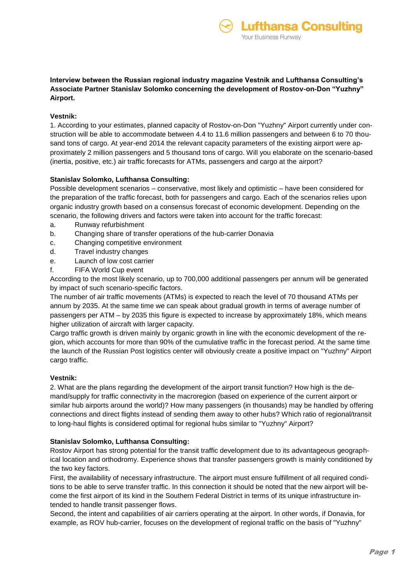fthansa Consulting

**Your Business Runway** 

# **Vestnik:**

1. According to your estimates, planned capacity of Rostov-on-Don "Yuzhny" Airport currently under construction will be able to accommodate between 4.4 to 11.6 million passengers and between 6 to 70 thousand tons of cargo. At year-end 2014 the relevant capacity parameters of the existing airport were approximately 2 million passengers and 5 thousand tons of cargo. Will you elaborate on the scenario-based (inertia, positive, etc.) air traffic forecasts for ATMs, passengers and cargo at the airport?

# **Stanislav Solomko, Lufthansa Consulting:**

Possible development scenarios – conservative, most likely and optimistic – have been considered for the preparation of the traffic forecast, both for passengers and cargo. Each of the scenarios relies upon organic industry growth based on a consensus forecast of economic development. Depending on the scenario, the following drivers and factors were taken into account for the traffic forecast:

- a. Runway refurbishment
- b. Changing share of transfer operations of the hub-carrier Donavia
- c. Changing competitive environment
- d. Travel industry changes
- e. Launch of low cost carrier
- f. FIFA World Cup event

According to the most likely scenario, up to 700,000 additional passengers per annum will be generated by impact of such scenario-specific factors.

The number of air traffic movements (ATMs) is expected to reach the level of 70 thousand ATMs per annum by 2035. At the same time we can speak about gradual growth in terms of average number of passengers per ATM – by 2035 this figure is expected to increase by approximately 18%, which means higher utilization of aircraft with larger capacity.

Cargo traffic growth is driven mainly by organic growth in line with the economic development of the region, which accounts for more than 90% of the cumulative traffic in the forecast period. At the same time the launch of the Russian Post logistics center will obviously create a positive impact on "Yuzhny" Airport cargo traffic.

## **Vestnik:**

2. What are the plans regarding the development of the airport transit function? How high is the demand/supply for traffic connectivity in the macroregion (based on experience of the current airport or similar hub airports around the world)? How many passengers (in thousands) may be handled by offering connections and direct flights instead of sending them away to other hubs? Which ratio of regional/transit to long-haul flights is considered optimal for regional hubs similar to "Yuzhny" Airport?

## **Stanislav Solomko, Lufthansa Consulting:**

Rostov Airport has strong potential for the transit traffic development due to its advantageous geographical location and orthodromy. Experience shows that transfer passengers growth is mainly conditioned by the two key factors.

First, the availability of necessary infrastructure. The airport must ensure fulfillment of all required conditions to be able to serve transfer traffic. In this connection it should be noted that the new airport will become the first airport of its kind in the Southern Federal District in terms of its unique infrastructure intended to handle transit passenger flows.

Second, the intent and capabilities of air carriers operating at the airport. In other words, if Donavia, for example, as ROV hub-carrier, focuses on the development of regional traffic on the basis of "Yuzhny"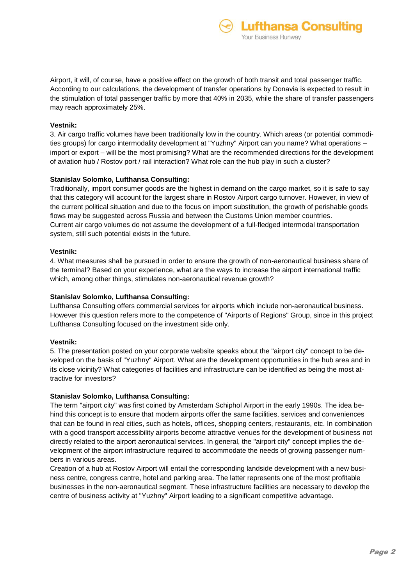fthansa Consulting

Your Business Runway

### **Vestnik:**

3. Air cargo traffic volumes have been traditionally low in the country. Which areas (or potential commodities groups) for cargo intermodality development at "Yuzhny" Airport can you name? What operations – import or export – will be the most promising? What are the recommended directions for the development of aviation hub / Rostov port / rail interaction? What role can the hub play in such a cluster?

### **Stanislav Solomko, Lufthansa Consulting:**

Traditionally, import consumer goods are the highest in demand on the cargo market, so it is safe to say that this category will account for the largest share in Rostov Airport cargo turnover. However, in view of the current political situation and due to the focus on import substitution, the growth of perishable goods flows may be suggested across Russia and between the Customs Union member countries. Current air cargo volumes do not assume the development of a full-fledged intermodal transportation system, still such potential exists in the future.

### **Vestnik:**

4. What measures shall be pursued in order to ensure the growth of non-aeronautical business share of the terminal? Based on your experience, what are the ways to increase the airport international traffic which, among other things, stimulates non-aeronautical revenue growth?

## **Stanislav Solomko, Lufthansa Consulting:**

Lufthansa Consulting offers commercial services for airports which include non-aeronautical business. However this question refers more to the competence of "Airports of Regions" Group, since in this project Lufthansa Consulting focused on the investment side only.

#### **Vestnik:**

5. The presentation posted on your corporate website speaks about the "airport city" concept to be developed on the basis of "Yuzhny" Airport. What are the development opportunities in the hub area and in its close vicinity? What categories of facilities and infrastructure can be identified as being the most attractive for investors?

#### **Stanislav Solomko, Lufthansa Consulting:**

The term "airport city" was first coined by Amsterdam Schiphol Airport in the early 1990s. The idea behind this concept is to ensure that modern airports offer the same facilities, services and conveniences that can be found in real cities, such as hotels, offices, shopping centers, restaurants, etc. In combination with a good transport accessibility airports become attractive venues for the development of business not directly related to the airport aeronautical services. In general, the "airport city" concept implies the development of the airport infrastructure required to accommodate the needs of growing passenger numbers in various areas.

Creation of a hub at Rostov Airport will entail the corresponding landside development with a new business centre, congress centre, hotel and parking area. The latter represents one of the most profitable businesses in the non-aeronautical segment. These infrastructure facilities are necessary to develop the centre of business activity at "Yuzhny" Airport leading to a significant competitive advantage.